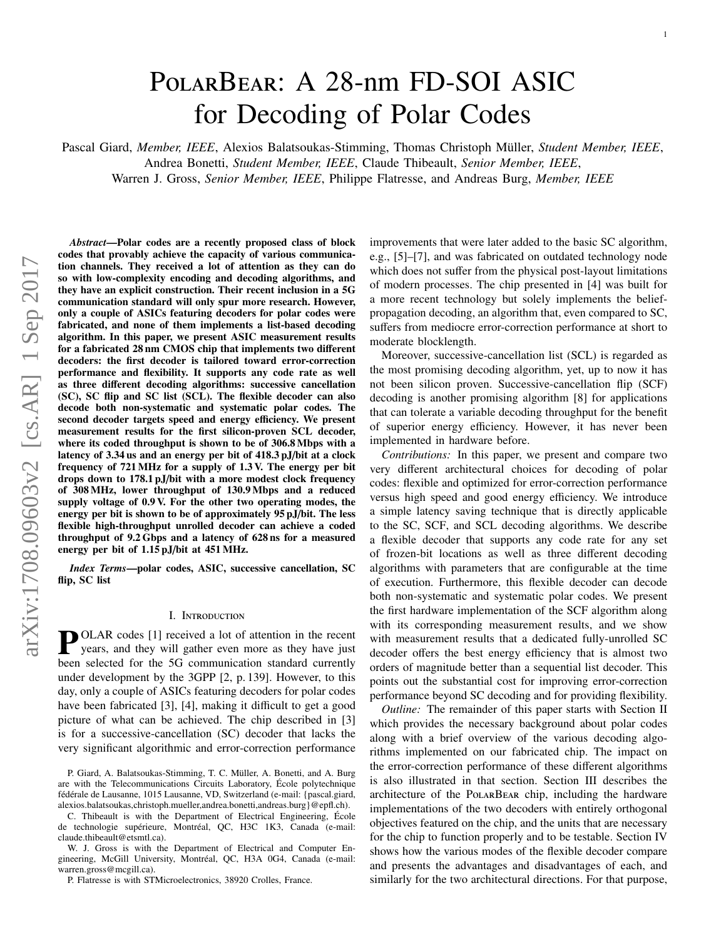# PolarBear: A 28-nm FD-SOI ASIC for Decoding of Polar Codes

Pascal Giard, *Member, IEEE*, Alexios Balatsoukas-Stimming, Thomas Christoph Müller, *Student Member, IEEE*,

Andrea Bonetti, *Student Member, IEEE*, Claude Thibeault, *Senior Member, IEEE*,

Warren J. Gross, *Senior Member, IEEE*, Philippe Flatresse, and Andreas Burg, *Member, IEEE*

*Abstract*—Polar codes are a recently proposed class of block codes that provably achieve the capacity of various communication channels. They received a lot of attention as they can do so with low-complexity encoding and decoding algorithms, and they have an explicit construction. Their recent inclusion in a 5G communication standard will only spur more research. However, only a couple of ASICs featuring decoders for polar codes were fabricated, and none of them implements a list-based decoding algorithm. In this paper, we present ASIC measurement results for a fabricated 28 nm CMOS chip that implements two different decoders: the first decoder is tailored toward error-correction performance and flexibility. It supports any code rate as well as three different decoding algorithms: successive cancellation (SC), SC flip and SC list (SCL). The flexible decoder can also decode both non-systematic and systematic polar codes. The second decoder targets speed and energy efficiency. We present measurement results for the first silicon-proven SCL decoder, where its coded throughput is shown to be of 306.8 Mbps with a latency of 3.34 us and an energy per bit of 418.3 pJ/bit at a clock frequency of 721 MHz for a supply of 1.3 V. The energy per bit drops down to 178.1 pJ/bit with a more modest clock frequency of 308 MHz, lower throughput of 130.9 Mbps and a reduced supply voltage of 0.9 V. For the other two operating modes, the energy per bit is shown to be of approximately 95 pJ/bit. The less flexible high-throughput unrolled decoder can achieve a coded throughput of 9.2 Gbps and a latency of 628 ns for a measured energy per bit of 1.15 pJ/bit at 451 MHz.

*Index Terms*—polar codes, ASIC, successive cancellation, SC flip, SC list

#### I. Introduction

**POLAR** codes [1] received a lot of attention in the recent years, and they will gather even more as they have just years, and they will gather even more as they have just been selected for the 5G communication standard currently under development by the 3GPP [2, p. 139]. However, to this day, only a couple of ASICs featuring decoders for polar codes have been fabricated [3], [4], making it difficult to get a good picture of what can be achieved. The chip described in [3] is for a successive-cancellation (SC) decoder that lacks the very significant algorithmic and error-correction performance

C. Thibeault is with the Department of Electrical Engineering, École de technologie supérieure, Montréal, QC, H3C 1K3, Canada (e-mail: claude.thibeault@etsmtl.ca).

W. J. Gross is with the Department of Electrical and Computer Engineering, McGill University, Montréal, QC, H3A 0G4, Canada (e-mail: warren.gross@mcgill.ca).

P. Flatresse is with STMicroelectronics, 38920 Crolles, France.

improvements that were later added to the basic SC algorithm, e.g., [5]–[7], and was fabricated on outdated technology node which does not suffer from the physical post-layout limitations of modern processes. The chip presented in [4] was built for a more recent technology but solely implements the beliefpropagation decoding, an algorithm that, even compared to SC, suffers from mediocre error-correction performance at short to moderate blocklength.

Moreover, successive-cancellation list (SCL) is regarded as the most promising decoding algorithm, yet, up to now it has not been silicon proven. Successive-cancellation flip (SCF) decoding is another promising algorithm [8] for applications that can tolerate a variable decoding throughput for the benefit of superior energy efficiency. However, it has never been implemented in hardware before.

*Contributions:* In this paper, we present and compare two very different architectural choices for decoding of polar codes: flexible and optimized for error-correction performance versus high speed and good energy efficiency. We introduce a simple latency saving technique that is directly applicable to the SC, SCF, and SCL decoding algorithms. We describe a flexible decoder that supports any code rate for any set of frozen-bit locations as well as three different decoding algorithms with parameters that are configurable at the time of execution. Furthermore, this flexible decoder can decode both non-systematic and systematic polar codes. We present the first hardware implementation of the SCF algorithm along with its corresponding measurement results, and we show with measurement results that a dedicated fully-unrolled SC decoder offers the best energy efficiency that is almost two orders of magnitude better than a sequential list decoder. This points out the substantial cost for improving error-correction performance beyond SC decoding and for providing flexibility.

*Outline:* The remainder of this paper starts with Section II which provides the necessary background about polar codes along with a brief overview of the various decoding algorithms implemented on our fabricated chip. The impact on the error-correction performance of these different algorithms is also illustrated in that section. Section III describes the architecture of the PolarBear chip, including the hardware implementations of the two decoders with entirely orthogonal objectives featured on the chip, and the units that are necessary for the chip to function properly and to be testable. Section IV shows how the various modes of the flexible decoder compare and presents the advantages and disadvantages of each, and similarly for the two architectural directions. For that purpose,

P. Giard, A. Balatsoukas-Stimming, T. C. Müller, A. Bonetti, and A. Burg are with the Telecommunications Circuits Laboratory, École polytechnique fédérale de Lausanne, 1015 Lausanne, VD, Switzerland (e-mail: {pascal.giard, alexios.balatsoukas,christoph.mueller,andrea.bonetti,andreas.burg}@epfl.ch).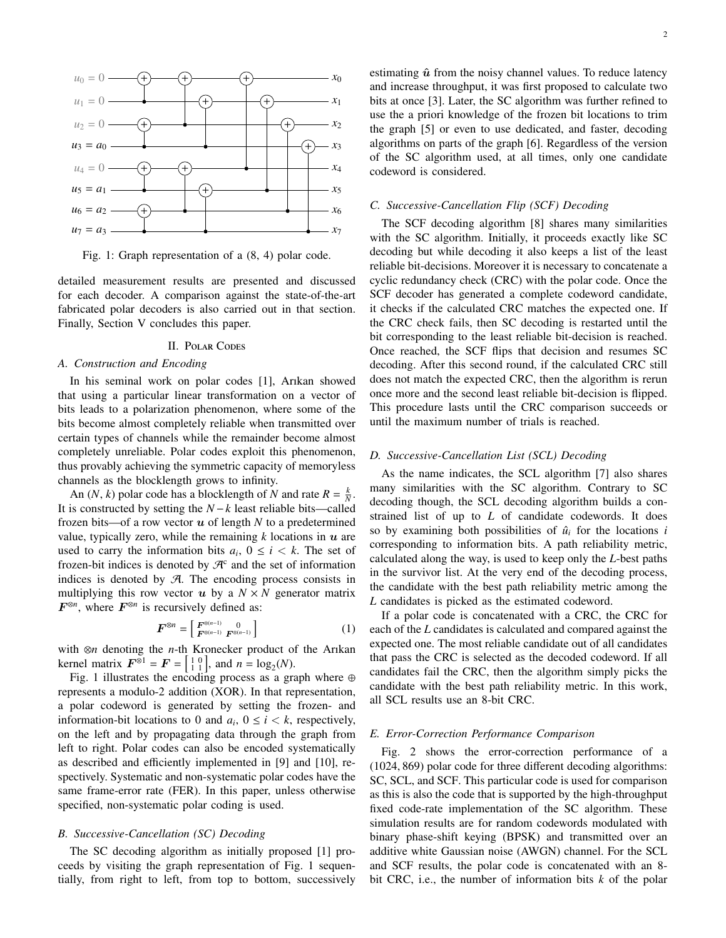

Fig. 1: Graph representation of a (8, 4) polar code.

detailed measurement results are presented and discussed for each decoder. A comparison against the state-of-the-art fabricated polar decoders is also carried out in that section. Finally, Section V concludes this paper.

#### II. Polar Codes

## *A. Construction and Encoding*

In his seminal work on polar codes [1], Arıkan showed that using a particular linear transformation on a vector of bits leads to a polarization phenomenon, where some of the bits become almost completely reliable when transmitted over certain types of channels while the remainder become almost completely unreliable. Polar codes exploit this phenomenon, thus provably achieving the symmetric capacity of memoryless channels as the blocklength grows to infinity.

An  $(N, k)$  polar code has a blocklength of *N* and rate  $R = \frac{k}{N}$ . It is constructed by setting the *N* −*k* least reliable bits—called frozen bits—of a row vector  $u$  of length  $N$  to a predetermined value, typically zero, while the remaining  $k$  locations in  $u$  are used to carry the information bits  $a_i$ ,  $0 \le i \le k$ . The set of frozen-bit indices is denoted by  $\mathcal{A}^c$  and the set of information indices is denoted by  $A$ . The encoding process consists in multiplying this row vector  $u$  by a  $N \times N$  generator matrix  $F^{\otimes n}$ , where  $F^{\otimes n}$  is recursively defined as:

$$
\boldsymbol{F}^{\otimes n} = \left[ \begin{array}{c} \boldsymbol{F}^{\otimes (n-1)} & 0 \\ \boldsymbol{F}^{\otimes (n-1)} & \boldsymbol{F}^{\otimes (n-1)} \end{array} \right] \tag{1}
$$

with ⊗*n* denoting the *n*-th Kronecker product of the Arıkan kernel matrix  $\mathbf{F}^{\otimes 1} = \mathbf{F} = \begin{bmatrix} 1 & 0 \\ 1 & 1 \end{bmatrix}$ , and  $n = \log_2(N)$ .

Fig. 1 illustrates the encoding process as a graph where  $\oplus$ represents a modulo-2 addition (XOR). In that representation, a polar codeword is generated by setting the frozen- and information-bit locations to 0 and  $a_i$ ,  $0 \le i \le k$ , respectively, on the left and by propagating data through the graph from left to right. Polar codes can also be encoded systematically as described and efficiently implemented in [9] and [10], respectively. Systematic and non-systematic polar codes have the same frame-error rate (FER). In this paper, unless otherwise specified, non-systematic polar coding is used.

## *B. Successive-Cancellation (SC) Decoding*

The SC decoding algorithm as initially proposed [1] proceeds by visiting the graph representation of Fig. 1 sequentially, from right to left, from top to bottom, successively estimating  $\hat{u}$  from the noisy channel values. To reduce latency and increase throughput, it was first proposed to calculate two bits at once [3]. Later, the SC algorithm was further refined to use the a priori knowledge of the frozen bit locations to trim the graph [5] or even to use dedicated, and faster, decoding algorithms on parts of the graph [6]. Regardless of the version of the SC algorithm used, at all times, only one candidate codeword is considered.

#### *C. Successive-Cancellation Flip (SCF) Decoding*

The SCF decoding algorithm [8] shares many similarities with the SC algorithm. Initially, it proceeds exactly like SC decoding but while decoding it also keeps a list of the least reliable bit-decisions. Moreover it is necessary to concatenate a cyclic redundancy check (CRC) with the polar code. Once the SCF decoder has generated a complete codeword candidate, it checks if the calculated CRC matches the expected one. If the CRC check fails, then SC decoding is restarted until the bit corresponding to the least reliable bit-decision is reached. Once reached, the SCF flips that decision and resumes SC decoding. After this second round, if the calculated CRC still does not match the expected CRC, then the algorithm is rerun once more and the second least reliable bit-decision is flipped. This procedure lasts until the CRC comparison succeeds or until the maximum number of trials is reached.

## *D. Successive-Cancellation List (SCL) Decoding*

As the name indicates, the SCL algorithm [7] also shares many similarities with the SC algorithm. Contrary to SC decoding though, the SCL decoding algorithm builds a constrained list of up to *L* of candidate codewords. It does so by examining both possibilities of  $\hat{u}_i$  for the locations *i* corresponding to information bits. A path reliability metric, calculated along the way, is used to keep only the *L*-best paths in the survivor list. At the very end of the decoding process, the candidate with the best path reliability metric among the *L* candidates is picked as the estimated codeword.

If a polar code is concatenated with a CRC, the CRC for each of the *L* candidates is calculated and compared against the expected one. The most reliable candidate out of all candidates that pass the CRC is selected as the decoded codeword. If all candidates fail the CRC, then the algorithm simply picks the candidate with the best path reliability metric. In this work, all SCL results use an 8-bit CRC.

#### *E. Error-Correction Performance Comparison*

Fig. 2 shows the error-correction performance of a (1024, 869) polar code for three different decoding algorithms: SC, SCL, and SCF. This particular code is used for comparison as this is also the code that is supported by the high-throughput fixed code-rate implementation of the SC algorithm. These simulation results are for random codewords modulated with binary phase-shift keying (BPSK) and transmitted over an additive white Gaussian noise (AWGN) channel. For the SCL and SCF results, the polar code is concatenated with an 8 bit CRC, i.e., the number of information bits *k* of the polar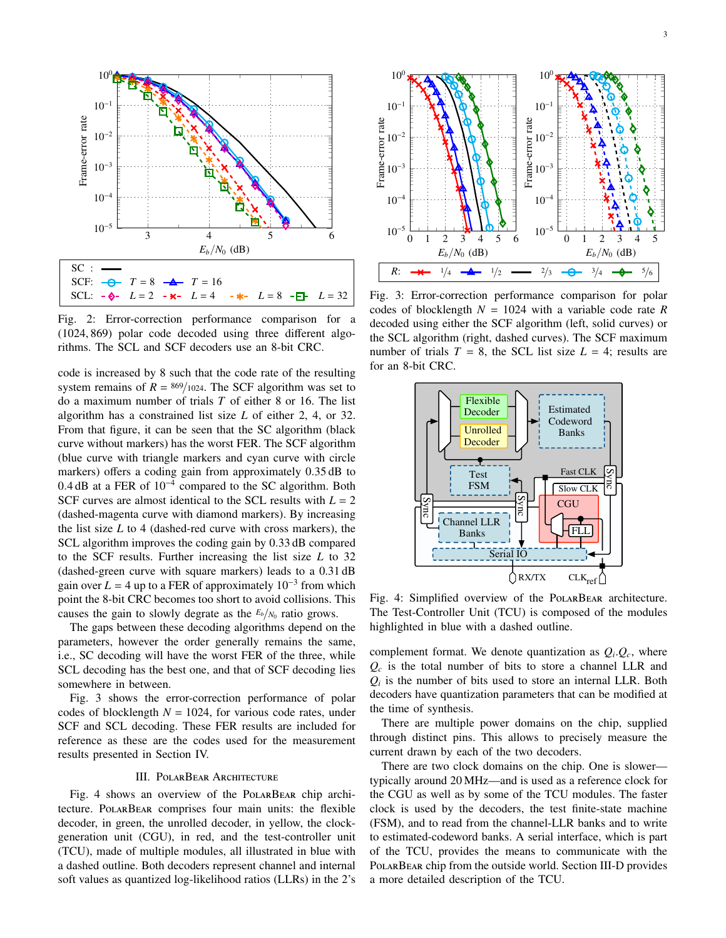

Fig. 2: Error-correction performance comparison for a (1024, 869) polar code decoded using three different algorithms. The SCL and SCF decoders use an 8-bit CRC.

code is increased by 8 such that the code rate of the resulting system remains of  $R = \frac{869}{1024}$ . The SCF algorithm was set to do a maximum number of trials *T* of either 8 or 16. The list algorithm has a constrained list size *L* of either 2, 4, or 32. From that figure, it can be seen that the SC algorithm (black curve without markers) has the worst FER. The SCF algorithm (blue curve with triangle markers and cyan curve with circle markers) offers a coding gain from approximately 0.35 dB to 0.4 dB at a FER of 10<sup>−</sup><sup>4</sup> compared to the SC algorithm. Both SCF curves are almost identical to the SCL results with  $L = 2$ (dashed-magenta curve with diamond markers). By increasing the list size  $L$  to 4 (dashed-red curve with cross markers), the SCL algorithm improves the coding gain by 0.33 dB compared to the SCF results. Further increasing the list size *L* to 32 (dashed-green curve with square markers) leads to a 0.31 dB gain over  $L = 4$  up to a FER of approximately  $10^{-3}$  from which point the 8-bit CRC becomes too short to avoid collisions. This causes the gain to slowly degrate as the  $E_b/N_0$  ratio grows.

The gaps between these decoding algorithms depend on the parameters, however the order generally remains the same, i.e., SC decoding will have the worst FER of the three, while SCL decoding has the best one, and that of SCF decoding lies somewhere in between.

Fig. 3 shows the error-correction performance of polar codes of blocklength  $N = 1024$ , for various code rates, under SCF and SCL decoding. These FER results are included for reference as these are the codes used for the measurement results presented in Section IV.

#### III. PolarBear Architecture

Fig. 4 shows an overview of the PolarBear chip architecture. PolarBear comprises four main units: the flexible decoder, in green, the unrolled decoder, in yellow, the clockgeneration unit (CGU), in red, and the test-controller unit (TCU), made of multiple modules, all illustrated in blue with a dashed outline. Both decoders represent channel and internal soft values as quantized log-likelihood ratios (LLRs) in the 2's



Fig. 3: Error-correction performance comparison for polar codes of blocklength  $N = 1024$  with a variable code rate  $R$ decoded using either the SCF algorithm (left, solid curves) or the SCL algorithm (right, dashed curves). The SCF maximum number of trials  $T = 8$ , the SCL list size  $L = 4$ ; results are for an 8-bit CRC.



Fig. 4: Simplified overview of the PolarBear architecture. The Test-Controller Unit (TCU) is composed of the modules highlighted in blue with a dashed outline.

complement format. We denote quantization as  $Q_i$ . $Q_c$ , where *Q<sup>c</sup>* is the total number of bits to store a channel LLR and  $Q_i$  is the number of bits used to store an internal LLR. Both decoders have quantization parameters that can be modified at the time of synthesis.

There are multiple power domains on the chip, supplied through distinct pins. This allows to precisely measure the current drawn by each of the two decoders.

There are two clock domains on the chip. One is slower typically around 20 MHz—and is used as a reference clock for the CGU as well as by some of the TCU modules. The faster clock is used by the decoders, the test finite-state machine (FSM), and to read from the channel-LLR banks and to write to estimated-codeword banks. A serial interface, which is part of the TCU, provides the means to communicate with the PolarBear chip from the outside world. Section III-D provides a more detailed description of the TCU.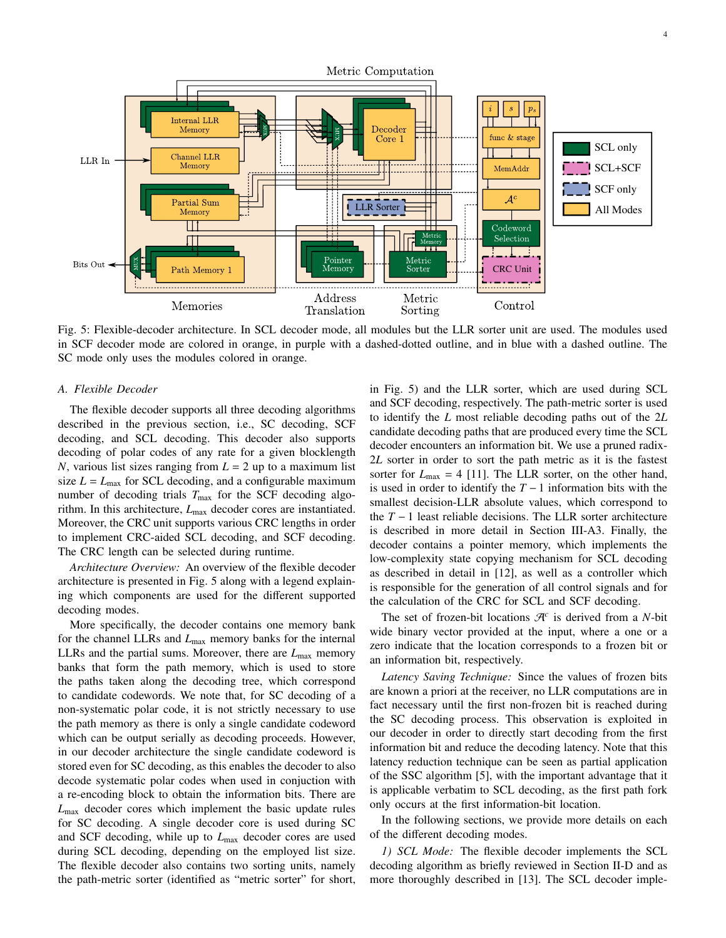

Fig. 5: Flexible-decoder architecture. In SCL decoder mode, all modules but the LLR sorter unit are used. The modules used in SCF decoder mode are colored in orange, in purple with a dashed-dotted outline, and in blue with a dashed outline. The SC mode only uses the modules colored in orange.

## *A. Flexible Decoder*

The flexible decoder supports all three decoding algorithms described in the previous section, i.e., SC decoding, SCF decoding, and SCL decoding. This decoder also supports decoding of polar codes of any rate for a given blocklength *N*, various list sizes ranging from  $L = 2$  up to a maximum list size  $L = L_{\text{max}}$  for SCL decoding, and a configurable maximum number of decoding trials  $T_{\text{max}}$  for the SCF decoding algorithm. In this architecture, *L*max decoder cores are instantiated. Moreover, the CRC unit supports various CRC lengths in order to implement CRC-aided SCL decoding, and SCF decoding. The CRC length can be selected during runtime.

*Architecture Overview:* An overview of the flexible decoder architecture is presented in Fig. 5 along with a legend explaining which components are used for the different supported decoding modes.

More specifically, the decoder contains one memory bank for the channel LLRs and *L*max memory banks for the internal LLRs and the partial sums. Moreover, there are *L*max memory banks that form the path memory, which is used to store the paths taken along the decoding tree, which correspond to candidate codewords. We note that, for SC decoding of a non-systematic polar code, it is not strictly necessary to use the path memory as there is only a single candidate codeword which can be output serially as decoding proceeds. However, in our decoder architecture the single candidate codeword is stored even for SC decoding, as this enables the decoder to also decode systematic polar codes when used in conjuction with a re-encoding block to obtain the information bits. There are *L*max decoder cores which implement the basic update rules for SC decoding. A single decoder core is used during SC and SCF decoding, while up to *L*max decoder cores are used during SCL decoding, depending on the employed list size. The flexible decoder also contains two sorting units, namely the path-metric sorter (identified as "metric sorter" for short, in Fig. 5) and the LLR sorter, which are used during SCL and SCF decoding, respectively. The path-metric sorter is used to identify the *L* most reliable decoding paths out of the 2*L* candidate decoding paths that are produced every time the SCL decoder encounters an information bit. We use a pruned radix-2*L* sorter in order to sort the path metric as it is the fastest sorter for  $L_{\text{max}} = 4$  [11]. The LLR sorter, on the other hand, is used in order to identify the  $T-1$  information bits with the smallest decision-LLR absolute values, which correspond to the *T* − 1 least reliable decisions. The LLR sorter architecture is described in more detail in Section III-A3. Finally, the decoder contains a pointer memory, which implements the low-complexity state copying mechanism for SCL decoding as described in detail in [12], as well as a controller which is responsible for the generation of all control signals and for the calculation of the CRC for SCL and SCF decoding.

The set of frozen-bit locations  $\mathcal{A}^c$  is derived from a *N*-bit wide binary vector provided at the input, where a one or a zero indicate that the location corresponds to a frozen bit or an information bit, respectively.

*Latency Saving Technique:* Since the values of frozen bits are known a priori at the receiver, no LLR computations are in fact necessary until the first non-frozen bit is reached during the SC decoding process. This observation is exploited in our decoder in order to directly start decoding from the first information bit and reduce the decoding latency. Note that this latency reduction technique can be seen as partial application of the SSC algorithm [5], with the important advantage that it is applicable verbatim to SCL decoding, as the first path fork only occurs at the first information-bit location.

In the following sections, we provide more details on each of the different decoding modes.

*1) SCL Mode:* The flexible decoder implements the SCL decoding algorithm as briefly reviewed in Section II-D and as more thoroughly described in [13]. The SCL decoder imple-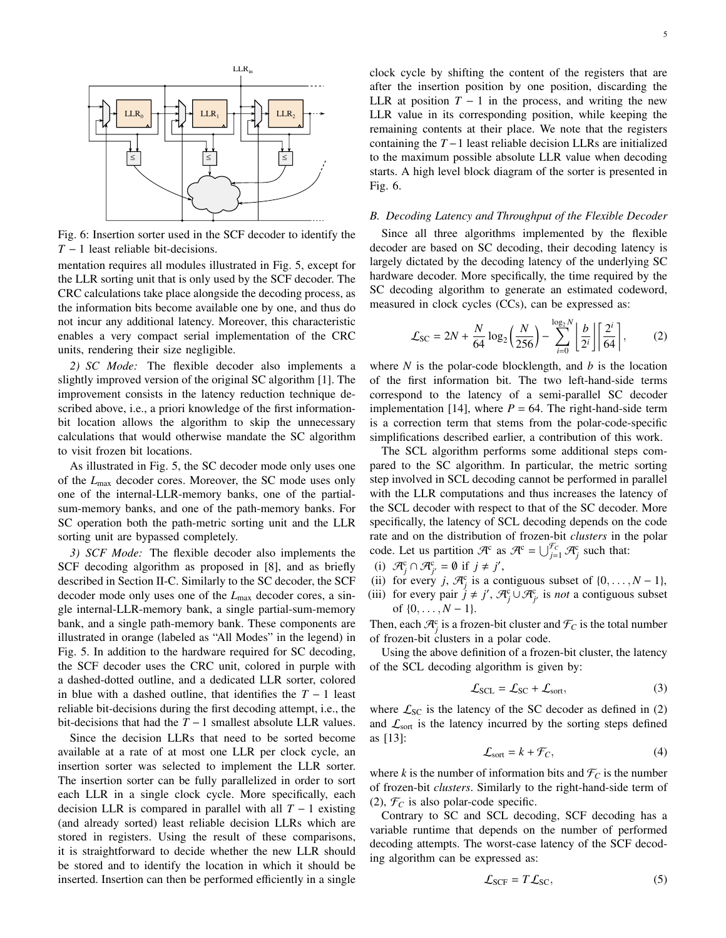

Fig. 6: Insertion sorter used in the SCF decoder to identify the *T* − 1 least reliable bit-decisions.

mentation requires all modules illustrated in Fig. 5, except for the LLR sorting unit that is only used by the SCF decoder. The CRC calculations take place alongside the decoding process, as the information bits become available one by one, and thus do not incur any additional latency. Moreover, this characteristic enables a very compact serial implementation of the CRC units, rendering their size negligible.

*2) SC Mode:* The flexible decoder also implements a slightly improved version of the original SC algorithm [1]. The improvement consists in the latency reduction technique described above, i.e., a priori knowledge of the first informationbit location allows the algorithm to skip the unnecessary calculations that would otherwise mandate the SC algorithm to visit frozen bit locations.

As illustrated in Fig. 5, the SC decoder mode only uses one of the *L*max decoder cores. Moreover, the SC mode uses only one of the internal-LLR-memory banks, one of the partialsum-memory banks, and one of the path-memory banks. For SC operation both the path-metric sorting unit and the LLR sorting unit are bypassed completely.

*3) SCF Mode:* The flexible decoder also implements the SCF decoding algorithm as proposed in [8], and as briefly described in Section II-C. Similarly to the SC decoder, the SCF decoder mode only uses one of the *L*max decoder cores, a single internal-LLR-memory bank, a single partial-sum-memory bank, and a single path-memory bank. These components are illustrated in orange (labeled as "All Modes" in the legend) in Fig. 5. In addition to the hardware required for SC decoding, the SCF decoder uses the CRC unit, colored in purple with a dashed-dotted outline, and a dedicated LLR sorter, colored in blue with a dashed outline, that identifies the *T* − 1 least reliable bit-decisions during the first decoding attempt, i.e., the bit-decisions that had the  $T - 1$  smallest absolute LLR values.

Since the decision LLRs that need to be sorted become available at a rate of at most one LLR per clock cycle, an insertion sorter was selected to implement the LLR sorter. The insertion sorter can be fully parallelized in order to sort each LLR in a single clock cycle. More specifically, each decision LLR is compared in parallel with all *T* − 1 existing (and already sorted) least reliable decision LLRs which are stored in registers. Using the result of these comparisons, it is straightforward to decide whether the new LLR should be stored and to identify the location in which it should be inserted. Insertion can then be performed efficiently in a single clock cycle by shifting the content of the registers that are after the insertion position by one position, discarding the LLR at position  $T − 1$  in the process, and writing the new LLR value in its corresponding position, while keeping the remaining contents at their place. We note that the registers containing the *T* −1 least reliable decision LLRs are initialized to the maximum possible absolute LLR value when decoding starts. A high level block diagram of the sorter is presented in Fig. 6.

## *B. Decoding Latency and Throughput of the Flexible Decoder*

Since all three algorithms implemented by the flexible decoder are based on SC decoding, their decoding latency is largely dictated by the decoding latency of the underlying SC hardware decoder. More specifically, the time required by the SC decoding algorithm to generate an estimated codeword, measured in clock cycles (CCs), can be expressed as:

$$
\mathcal{L}_{SC} = 2N + \frac{N}{64} \log_2 \left( \frac{N}{256} \right) - \sum_{i=0}^{\log_2 N} \left( \frac{b}{2^i} \right) \left( \frac{2^i}{64} \right),\tag{2}
$$

where *N* is the polar-code blocklength, and *b* is the location of the first information bit. The two left-hand-side terms correspond to the latency of a semi-parallel SC decoder implementation [14], where  $P = 64$ . The right-hand-side term is a correction term that stems from the polar-code-specific simplifications described earlier, a contribution of this work.

The SCL algorithm performs some additional steps compared to the SC algorithm. In particular, the metric sorting step involved in SCL decoding cannot be performed in parallel with the LLR computations and thus increases the latency of the SCL decoder with respect to that of the SC decoder. More specifically, the latency of SCL decoding depends on the code rate and on the distribution of frozen-bit *clusters* in the polar code. Let us partition  $\mathcal{A}^c$  as  $\mathcal{A}^c = \bigcup_{j=1}^{\mathcal{F}_c} \mathcal{A}^c_j$  such that:

- (i)  $\mathcal{A}_{j}^{c} \cap \mathcal{A}_{j'}^{c} = \emptyset$  if  $j \neq j'$ ,
- (ii) for every *j*,  $\mathcal{A}_{j}^{c}$  is a contiguous subset of {0, ..., *N* − 1},
- (iii) for every pair  $j \neq j'$ ,  $\mathcal{A}_{j}^{c} \cup \mathcal{A}_{j'}^{c}$  is *not* a contiguous subset of  $\{0, \ldots, N-1\}$ .

Then, each  $\mathcal{F}_j^c$  is a frozen-bit cluster and  $\mathcal{F}_C$  is the total number of frozen-bit clusters in a polar code.

Using the above definition of a frozen-bit cluster, the latency of the SCL decoding algorithm is given by:

$$
\mathcal{L}_{SCL} = \mathcal{L}_{SC} + \mathcal{L}_{sort},\tag{3}
$$

where  $\mathcal{L}_{SC}$  is the latency of the SC decoder as defined in (2) and  $\mathcal{L}_{\text{sort}}$  is the latency incurred by the sorting steps defined as [13]:

$$
\mathcal{L}_{\text{sort}} = k + \mathcal{F}_C,\tag{4}
$$

where *k* is the number of information bits and  $\mathcal{F}_C$  is the number of frozen-bit *clusters*. Similarly to the right-hand-side term of (2),  $\mathcal{F}_C$  is also polar-code specific.

Contrary to SC and SCL decoding, SCF decoding has a variable runtime that depends on the number of performed decoding attempts. The worst-case latency of the SCF decoding algorithm can be expressed as:

$$
\mathcal{L}_{SCF} = T \mathcal{L}_{SC},\tag{5}
$$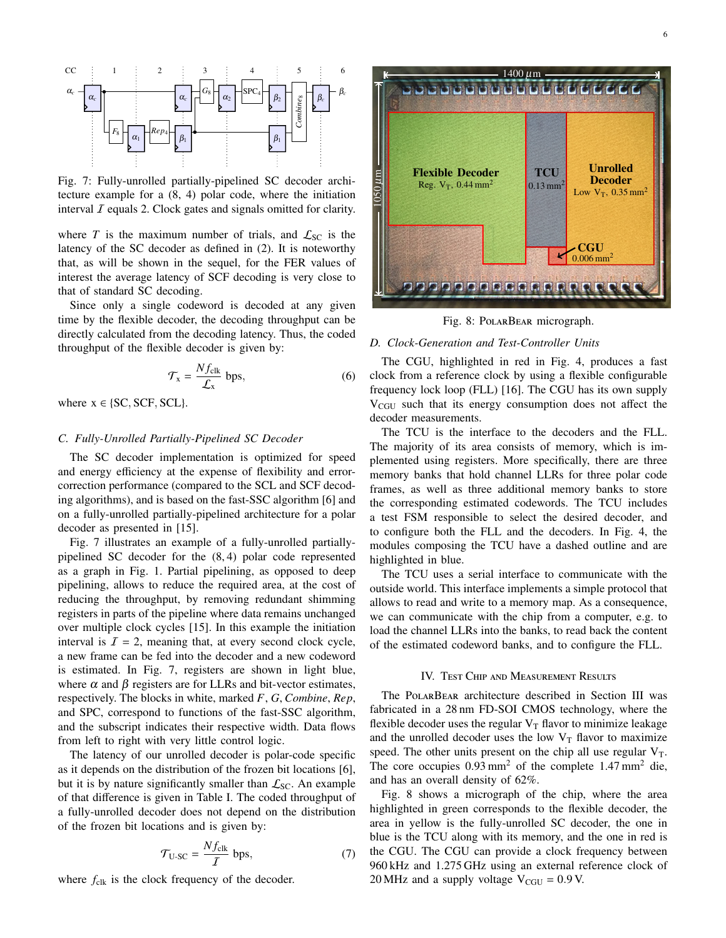

Fig. 7: Fully-unrolled partially-pipelined SC decoder architecture example for a (8, 4) polar code, where the initiation interval  $I$  equals 2. Clock gates and signals omitted for clarity.

where  $T$  is the maximum number of trials, and  $\mathcal{L}_{SC}$  is the latency of the SC decoder as defined in (2). It is noteworthy that, as will be shown in the sequel, for the FER values of interest the average latency of SCF decoding is very close to that of standard SC decoding.

Since only a single codeword is decoded at any given time by the flexible decoder, the decoding throughput can be directly calculated from the decoding latency. Thus, the coded throughput of the flexible decoder is given by:

$$
\mathcal{T}_x = \frac{Nf_{\text{clk}}}{\mathcal{L}_x} \text{ bps},\tag{6}
$$

where  $x \in \{SC, SCF, SCL\}.$ 

## *C. Fully-Unrolled Partially-Pipelined SC Decoder*

The SC decoder implementation is optimized for speed and energy efficiency at the expense of flexibility and errorcorrection performance (compared to the SCL and SCF decoding algorithms), and is based on the fast-SSC algorithm [6] and on a fully-unrolled partially-pipelined architecture for a polar decoder as presented in [15].

Fig. 7 illustrates an example of a fully-unrolled partiallypipelined SC decoder for the (8, 4) polar code represented as a graph in Fig. 1. Partial pipelining, as opposed to deep pipelining, allows to reduce the required area, at the cost of reducing the throughput, by removing redundant shimming registers in parts of the pipeline where data remains unchanged over multiple clock cycles [15]. In this example the initiation interval is  $I = 2$ , meaning that, at every second clock cycle, a new frame can be fed into the decoder and a new codeword is estimated. In Fig. 7, registers are shown in light blue, where  $\alpha$  and  $\beta$  registers are for LLRs and bit-vector estimates, respectively. The blocks in white, marked *F*, *G*, *Combine*, *Rep*, and SPC, correspond to functions of the fast-SSC algorithm, and the subscript indicates their respective width. Data flows from left to right with very little control logic.

The latency of our unrolled decoder is polar-code specific as it depends on the distribution of the frozen bit locations [6], but it is by nature significantly smaller than  $\mathcal{L}_{SC}$ . An example of that difference is given in Table I. The coded throughput of a fully-unrolled decoder does not depend on the distribution of the frozen bit locations and is given by:

$$
\mathcal{T}_{\text{U-SC}} = \frac{N f_{\text{clk}}}{I} \text{ bps},\tag{7}
$$

where  $f_{\text{clk}}$  is the clock frequency of the decoder.



Fig. 8: PolarBear micrograph.

## *D. Clock-Generation and Test-Controller Units*

The CGU, highlighted in red in Fig. 4, produces a fast clock from a reference clock by using a flexible configurable frequency lock loop (FLL) [16]. The CGU has its own supply V<sub>CGU</sub> such that its energy consumption does not affect the decoder measurements.

The TCU is the interface to the decoders and the FLL. The majority of its area consists of memory, which is implemented using registers. More specifically, there are three memory banks that hold channel LLRs for three polar code frames, as well as three additional memory banks to store the corresponding estimated codewords. The TCU includes a test FSM responsible to select the desired decoder, and to configure both the FLL and the decoders. In Fig. 4, the modules composing the TCU have a dashed outline and are highlighted in blue.

The TCU uses a serial interface to communicate with the outside world. This interface implements a simple protocol that allows to read and write to a memory map. As a consequence, we can communicate with the chip from a computer, e.g. to load the channel LLRs into the banks, to read back the content of the estimated codeword banks, and to configure the FLL.

#### IV. Test Chip and Measurement Results

The PolarBear architecture described in Section III was fabricated in a 28 nm FD-SOI CMOS technology, where the flexible decoder uses the regular  $V_T$  flavor to minimize leakage and the unrolled decoder uses the low  $V_T$  flavor to maximize speed. The other units present on the chip all use regular  $V_T$ . The core occupies  $0.93 \text{ mm}^2$  of the complete  $1.47 \text{ mm}^2$  die, and has an overall density of 62%.

Fig. 8 shows a micrograph of the chip, where the area highlighted in green corresponds to the flexible decoder, the area in yellow is the fully-unrolled SC decoder, the one in blue is the TCU along with its memory, and the one in red is the CGU. The CGU can provide a clock frequency between 960 kHz and 1.275 GHz using an external reference clock of 20 MHz and a supply voltage  $V_{CGU} = 0.9 V$ .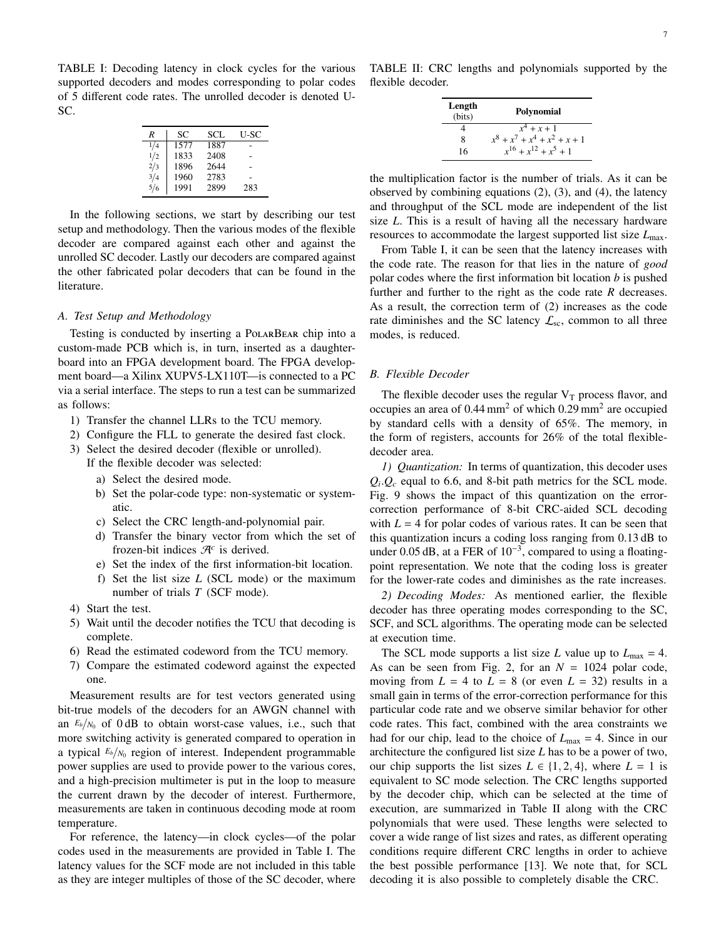TABLE I: Decoding latency in clock cycles for the various supported decoders and modes corresponding to polar codes of 5 different code rates. The unrolled decoder is denoted U-SC.

| R   | SС   | SCL. | U-SC |
|-----|------|------|------|
|     | 1577 | 1887 |      |
| 1/2 | 1833 | 2408 |      |
| 2/3 | 1896 | 2644 |      |
| 3/4 | 1960 | 2783 |      |
| 5/6 | 1991 | 2899 | 283  |

In the following sections, we start by describing our test setup and methodology. Then the various modes of the flexible decoder are compared against each other and against the unrolled SC decoder. Lastly our decoders are compared against the other fabricated polar decoders that can be found in the literature.

#### *A. Test Setup and Methodology*

Testing is conducted by inserting a PolarBear chip into a custom-made PCB which is, in turn, inserted as a daughterboard into an FPGA development board. The FPGA development board—a Xilinx XUPV5-LX110T—is connected to a PC via a serial interface. The steps to run a test can be summarized as follows:

- 1) Transfer the channel LLRs to the TCU memory.
- 2) Configure the FLL to generate the desired fast clock.
- 3) Select the desired decoder (flexible or unrolled).
- If the flexible decoder was selected:
	- a) Select the desired mode.
	- b) Set the polar-code type: non-systematic or systematic.
	- c) Select the CRC length-and-polynomial pair.
	- d) Transfer the binary vector from which the set of frozen-bit indices  $\mathcal{A}^c$  is derived.
	- e) Set the index of the first information-bit location.
	- f) Set the list size *L* (SCL mode) or the maximum number of trials *T* (SCF mode).
- 4) Start the test.
- 5) Wait until the decoder notifies the TCU that decoding is complete.
- 6) Read the estimated codeword from the TCU memory.
- 7) Compare the estimated codeword against the expected one.

Measurement results are for test vectors generated using bit-true models of the decoders for an AWGN channel with an  $E_b/N_0$  of 0 dB to obtain worst-case values, i.e., such that more switching activity is generated compared to operation in a typical  $E_b/N_0$  region of interest. Independent programmable power supplies are used to provide power to the various cores, and a high-precision multimeter is put in the loop to measure the current drawn by the decoder of interest. Furthermore, measurements are taken in continuous decoding mode at room temperature.

For reference, the latency—in clock cycles—of the polar codes used in the measurements are provided in Table I. The latency values for the SCF mode are not included in this table as they are integer multiples of those of the SC decoder, where

TABLE II: CRC lengths and polynomials supported by the flexible decoder.

| Length<br>(bits) | Polynomial                      |
|------------------|---------------------------------|
|                  | $x^4 + x + 1$                   |
| 8                | $x^8 + x^7 + x^4 + x^2 + x + 1$ |
| 16               | $x^{16} + x^{12} + x^5 + 1$     |

the multiplication factor is the number of trials. As it can be observed by combining equations (2), (3), and (4), the latency and throughput of the SCL mode are independent of the list size *L*. This is a result of having all the necessary hardware resources to accommodate the largest supported list size *L*max.

From Table I, it can be seen that the latency increases with the code rate. The reason for that lies in the nature of *good* polar codes where the first information bit location *b* is pushed further and further to the right as the code rate *R* decreases. As a result, the correction term of (2) increases as the code rate diminishes and the SC latency  $\mathcal{L}_{sc}$ , common to all three modes, is reduced.

## *B. Flexible Decoder*

The flexible decoder uses the regular  $V_T$  process flavor, and occupies an area of  $0.44 \text{ mm}^2$  of which  $0.29 \text{ mm}^2$  are occupied by standard cells with a density of 65%. The memory, in the form of registers, accounts for 26% of the total flexibledecoder area.

*1) Quantization:* In terms of quantization, this decoder uses  $Q_i$ . $Q_c$  equal to 6.6, and 8-bit path metrics for the SCL mode. Fig. 9 shows the impact of this quantization on the errorcorrection performance of 8-bit CRC-aided SCL decoding with  $L = 4$  for polar codes of various rates. It can be seen that this quantization incurs a coding loss ranging from 0.13 dB to under 0.05 dB, at a FER of  $10^{-3}$ , compared to using a floatingpoint representation. We note that the coding loss is greater for the lower-rate codes and diminishes as the rate increases.

*2) Decoding Modes:* As mentioned earlier, the flexible decoder has three operating modes corresponding to the SC, SCF, and SCL algorithms. The operating mode can be selected at execution time.

The SCL mode supports a list size *L* value up to  $L_{\text{max}} = 4$ . As can be seen from Fig. 2, for an  $N = 1024$  polar code, moving from  $L = 4$  to  $L = 8$  (or even  $L = 32$ ) results in a small gain in terms of the error-correction performance for this particular code rate and we observe similar behavior for other code rates. This fact, combined with the area constraints we had for our chip, lead to the choice of  $L_{\text{max}} = 4$ . Since in our architecture the configured list size *L* has to be a power of two, our chip supports the list sizes  $L \in \{1, 2, 4\}$ , where  $L = 1$  is equivalent to SC mode selection. The CRC lengths supported by the decoder chip, which can be selected at the time of execution, are summarized in Table II along with the CRC polynomials that were used. These lengths were selected to cover a wide range of list sizes and rates, as different operating conditions require different CRC lengths in order to achieve the best possible performance [13]. We note that, for SCL decoding it is also possible to completely disable the CRC.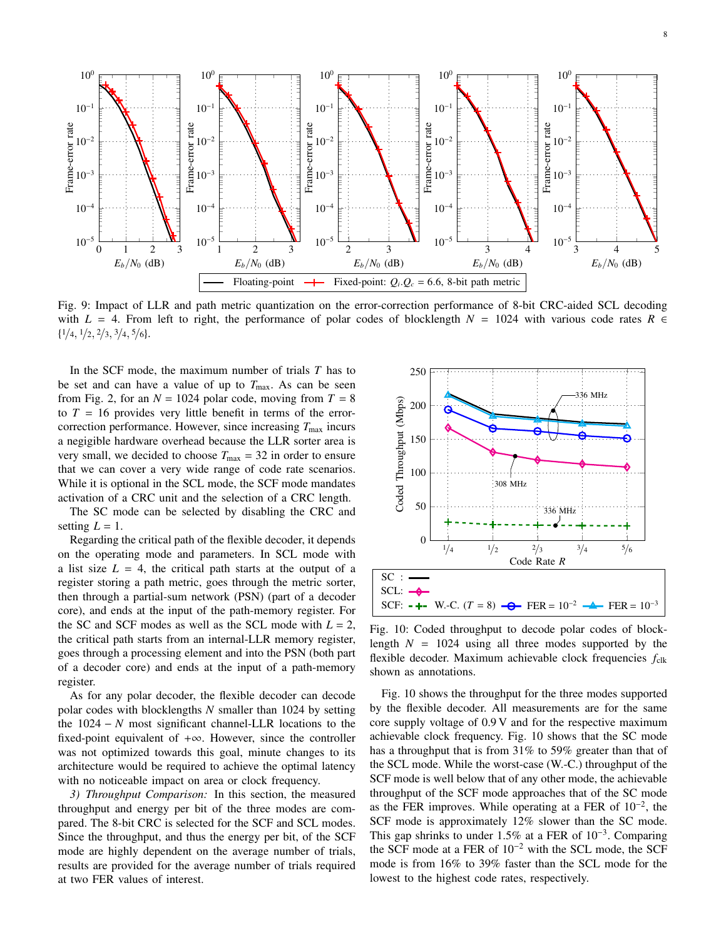8



Fig. 9: Impact of LLR and path metric quantization on the error-correction performance of 8-bit CRC-aided SCL decoding with  $L = 4$ . From left to right, the performance of polar codes of blocklength  $N = 1024$  with various code rates  $R \in$  $\{1/4, 1/2, 2/3, 3/4, 5/6\}.$ 

In the SCF mode, the maximum number of trials *T* has to be set and can have a value of up to  $T_{\text{max}}$ . As can be seen from Fig. 2, for an  $N = 1024$  polar code, moving from  $T = 8$ to  $T = 16$  provides very little benefit in terms of the errorcorrection performance. However, since increasing  $T_{\text{max}}$  incurs a negigible hardware overhead because the LLR sorter area is very small, we decided to choose  $T_{\text{max}} = 32$  in order to ensure that we can cover a very wide range of code rate scenarios. While it is optional in the SCL mode, the SCF mode mandates activation of a CRC unit and the selection of a CRC length.

The SC mode can be selected by disabling the CRC and setting  $L = 1$ .

Regarding the critical path of the flexible decoder, it depends on the operating mode and parameters. In SCL mode with a list size  $L = 4$ , the critical path starts at the output of a register storing a path metric, goes through the metric sorter, then through a partial-sum network (PSN) (part of a decoder core), and ends at the input of the path-memory register. For the SC and SCF modes as well as the SCL mode with  $L = 2$ , the critical path starts from an internal-LLR memory register, goes through a processing element and into the PSN (both part of a decoder core) and ends at the input of a path-memory register.

As for any polar decoder, the flexible decoder can decode polar codes with blocklengths *N* smaller than 1024 by setting the 1024 − *N* most significant channel-LLR locations to the fixed-point equivalent of  $+\infty$ . However, since the controller was not optimized towards this goal, minute changes to its architecture would be required to achieve the optimal latency with no noticeable impact on area or clock frequency.

*3) Throughput Comparison:* In this section, the measured throughput and energy per bit of the three modes are compared. The 8-bit CRC is selected for the SCF and SCL modes. Since the throughput, and thus the energy per bit, of the SCF mode are highly dependent on the average number of trials, results are provided for the average number of trials required at two FER values of interest.



Fig. 10: Coded throughput to decode polar codes of blocklength  $N = 1024$  using all three modes supported by the flexible decoder. Maximum achievable clock frequencies *f*clk shown as annotations.

Fig. 10 shows the throughput for the three modes supported by the flexible decoder. All measurements are for the same core supply voltage of 0.9 V and for the respective maximum achievable clock frequency. Fig. 10 shows that the SC mode has a throughput that is from 31% to 59% greater than that of the SCL mode. While the worst-case (W.-C.) throughput of the SCF mode is well below that of any other mode, the achievable throughput of the SCF mode approaches that of the SC mode as the FER improves. While operating at a FER of  $10^{-2}$ , the SCF mode is approximately  $12\%$  slower than the SC mode. This gap shrinks to under 1.5% at a FER of  $10^{-3}$ . Comparing the SCF mode at a FER of  $10^{-2}$  with the SCL mode, the SCF mode is from 16% to 39% faster than the SCL mode for the lowest to the highest code rates, respectively.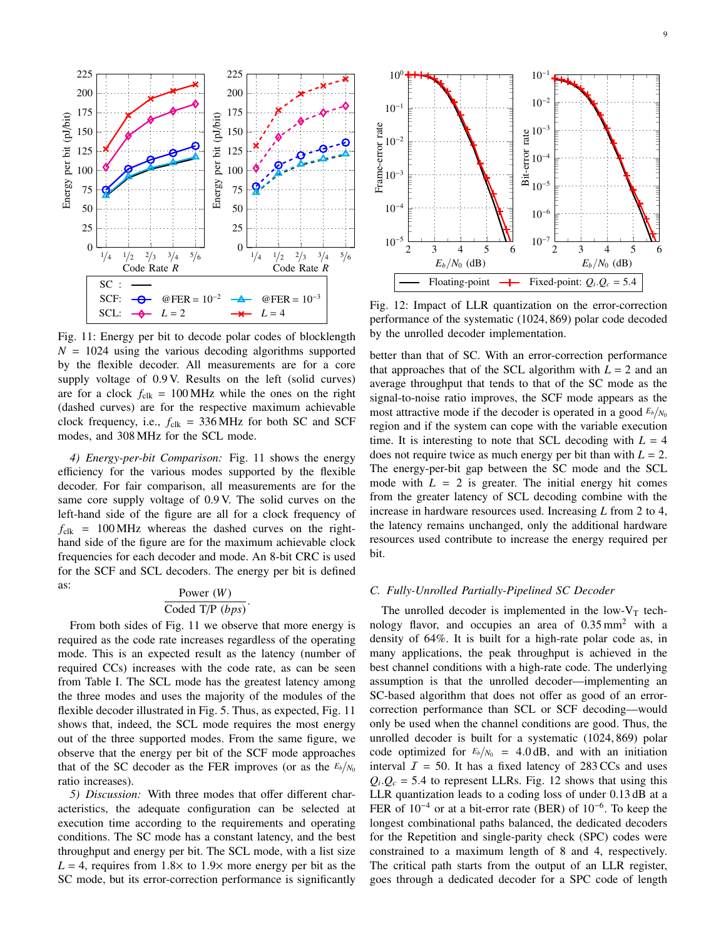

Fig. 11: Energy per bit to decode polar codes of blocklength  $N = 1024$  using the various decoding algorithms supported by the flexible decoder. All measurements are for a core supply voltage of 0.9 V. Results on the left (solid curves) are for a clock  $f_{\text{clk}} = 100 \text{ MHz}$  while the ones on the right (dashed curves) are for the respective maximum achievable clock frequency, i.e.,  $f_{\text{clk}} = 336 \text{ MHz}$  for both SC and SCF modes, and 308 MHz for the SCL mode.

*4) Energy-per-bit Comparison:* Fig. 11 shows the energy efficiency for the various modes supported by the flexible decoder. For fair comparison, all measurements are for the same core supply voltage of 0.9 V. The solid curves on the left-hand side of the figure are all for a clock frequency of  $f_{\text{clk}} = 100 \text{ MHz}$  whereas the dashed curves on the righthand side of the figure are for the maximum achievable clock frequencies for each decoder and mode. An 8-bit CRC is used for the SCF and SCL decoders. The energy per bit is defined as:

## Power (*W*)  $\frac{10 \text{ m or } (n)}{\text{Coded T/P } (bps)}$ .

From both sides of Fig. 11 we observe that more energy is required as the code rate increases regardless of the operating mode. This is an expected result as the latency (number of required CCs) increases with the code rate, as can be seen from Table I. The SCL mode has the greatest latency among the three modes and uses the majority of the modules of the flexible decoder illustrated in Fig. 5. Thus, as expected, Fig. 11 shows that, indeed, the SCL mode requires the most energy out of the three supported modes. From the same figure, we observe that the energy per bit of the SCF mode approaches that of the SC decoder as the FER improves (or as the  $E_b/N_0$ ratio increases).

*5) Discussion:* With three modes that offer different characteristics, the adequate configuration can be selected at execution time according to the requirements and operating conditions. The SC mode has a constant latency, and the best throughput and energy per bit. The SCL mode, with a list size  $L = 4$ , requires from 1.8 $\times$  to 1.9 $\times$  more energy per bit as the SC mode, but its error-correction performance is significantly



Fig. 12: Impact of LLR quantization on the error-correction performance of the systematic (1024, 869) polar code decoded by the unrolled decoder implementation.

better than that of SC. With an error-correction performance that approaches that of the SCL algorithm with  $L = 2$  and an average throughput that tends to that of the SC mode as the signal-to-noise ratio improves, the SCF mode appears as the most attractive mode if the decoder is operated in a good  $E_b/N_0$ region and if the system can cope with the variable execution time. It is interesting to note that SCL decoding with  $L = 4$ does not require twice as much energy per bit than with  $L = 2$ . The energy-per-bit gap between the SC mode and the SCL mode with  $L = 2$  is greater. The initial energy hit comes from the greater latency of SCL decoding combine with the increase in hardware resources used. Increasing *L* from 2 to 4, the latency remains unchanged, only the additional hardware resources used contribute to increase the energy required per bit.

## *C. Fully-Unrolled Partially-Pipelined SC Decoder*

The unrolled decoder is implemented in the low- $V_T$  technology flavor, and occupies an area of 0.35 mm<sup>2</sup> with a density of 64%. It is built for a high-rate polar code as, in many applications, the peak throughput is achieved in the best channel conditions with a high-rate code. The underlying assumption is that the unrolled decoder—implementing an SC-based algorithm that does not offer as good of an errorcorrection performance than SCL or SCF decoding—would only be used when the channel conditions are good. Thus, the unrolled decoder is built for a systematic (1024, 869) polar code optimized for  $E_b/N_0 = 4.0$  dB, and with an initiation interval  $I = 50$ . It has a fixed latency of 283 CCs and uses  $Q_i \cdot Q_c = 5.4$  to represent LLRs. Fig. 12 shows that using this LLR quantization leads to a coding loss of under 0.13 dB at a FER of  $10^{-4}$  or at a bit-error rate (BER) of  $10^{-6}$ . To keep the longest combinational paths balanced, the dedicated decoders for the Repetition and single-parity check (SPC) codes were constrained to a maximum length of 8 and 4, respectively. The critical path starts from the output of an LLR register, goes through a dedicated decoder for a SPC code of length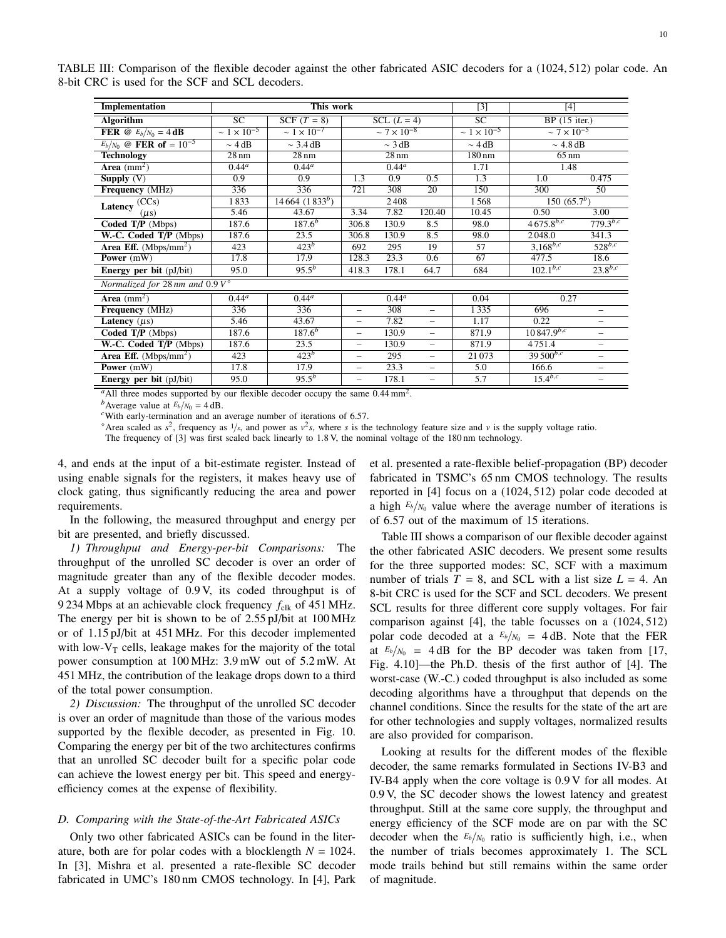| Implementation                               | This work               |                           |                          |                                    |                          | $\lceil 3 \rceil$       | [4]                                |                          |  |
|----------------------------------------------|-------------------------|---------------------------|--------------------------|------------------------------------|--------------------------|-------------------------|------------------------------------|--------------------------|--|
| <b>Algorithm</b>                             | SC.                     | SCF $(T = 8)$             | SCL $(L = 4)$            |                                    | $\overline{SC}$          | $BP(15$ iter.)          |                                    |                          |  |
| FER @ $E_b/N_0 = 4$ dB                       | $\sim 1 \times 10^{-5}$ | $\sim 1 \times 10^{-7}$   |                          | $\sim$ 7 $\times$ 10 <sup>-8</sup> |                          | $\sim 1 \times 10^{-5}$ | $\sim$ 7 $\times$ 10 <sup>-5</sup> |                          |  |
| $E_b/N_0$ @ <b>FER</b> of = 10 <sup>-5</sup> | $\sim$ 4 dB             | $\sim$ 3.4 dB             |                          | $\sim$ 3 dB                        |                          | $\sim$ 4 dB             | $\sim$ 4.8 dB                      |                          |  |
| <b>Technology</b>                            | $28 \text{ nm}$         | $28 \text{ nm}$           |                          | $28 \text{ nm}$                    |                          | $180 \text{ nm}$        | $65 \text{ nm}$                    |                          |  |
| Area $(mm^2)$                                | $0.44^a$                | $0.44^a$                  |                          | $0.44^a$                           |                          | 1.71                    | 1.48                               |                          |  |
| Supply $(V)$                                 | 0.9                     | 0.9                       | 1.3                      | 0.9                                | 0.5                      | 1.3                     | 1.0                                | 0.475                    |  |
| Frequency (MHz)                              | 336                     | 336                       | 721                      | 308                                | 20                       | 150                     | 300                                | 50                       |  |
| Latency $(\overline{CCs})$                   | 1833                    | 14664(1833 <sup>b</sup> ) |                          | 2408                               |                          | 1568                    | 150(65.7 <sup>b</sup> )            |                          |  |
| $(\mu s)$                                    | 5.46                    | 43.67                     | 3.34                     | 7.82                               | 120.40                   | 10.45                   | 0.50                               | 3.00                     |  |
| Coded T/P (Mbps)                             | 187.6                   | $187.6^{b}$               | 306.8                    | 130.9                              | 8.5                      | 98.0                    | $4675.8^{b,c}$                     | $779.3^{b,c}$            |  |
| W.-C. Coded T/P (Mbps)                       | 187.6                   | 23.5                      | 306.8                    | 130.9                              | 8.5                      | 98.0                    | 2048.0                             | 341.3                    |  |
| Area Eff. (Mbps/mm <sup>2</sup> )            | 423                     | $423^b$                   | 692                      | 295                                | 19                       | 57                      | $3,168^{b,c}$                      | $528^{b,c}$              |  |
| Power $(mW)$                                 | 17.8                    | 17.9                      | 128.3                    | 23.3                               | 0.6                      | 67                      | 477.5                              | 18.6                     |  |
| <b>Energy per bit</b> (pJ/bit)               | 95.0                    | $95.5^{b}$                | 418.3                    | 178.1                              | 64.7                     | 684                     | $102.1^{b,c}$                      | $23.8^{b,c}$             |  |
| Normalized for 28 nm and $0.9V^{\circ}$      |                         |                           |                          |                                    |                          |                         |                                    |                          |  |
| Area $(mm^2)$                                | $0.44^a$                | $0.44^a$                  |                          | $0.44^a$                           |                          | 0.04<br>0.27            |                                    |                          |  |
| Frequency (MHz)                              | 336                     | 336                       | $\qquad \qquad -$        | 308                                | $\overline{\phantom{0}}$ | 1335                    | 696                                | $\overline{\phantom{0}}$ |  |
| Latency $(\mu s)$                            | 5.46                    | 43.67                     | $\overline{\phantom{0}}$ | 7.82                               | $\overline{\phantom{0}}$ | 1.17                    | 0.22                               | -                        |  |
| Coded T/P (Mbps)                             | 187.6                   | $187.6^{b}$               | $\overline{\phantom{0}}$ | 130.9                              | $\overline{\phantom{0}}$ | 871.9                   | $10847.9^{b,c}$                    | $\overline{\phantom{0}}$ |  |
| W.-C. Coded T/P (Mbps)                       | 187.6                   | 23.5                      | $\overline{\phantom{0}}$ | 130.9                              | $\overline{\phantom{0}}$ | 871.9                   | 4751.4                             |                          |  |
| Area Eff. (Mbps/mm <sup>2</sup> )            | 423                     | $423^b$                   | $\overline{\phantom{0}}$ | 295                                | $\overline{\phantom{0}}$ | 21073                   | 39 500 <sup>b,c</sup>              | $\overline{\phantom{0}}$ |  |
| Power (mW)                                   | 17.8                    | 17.9                      |                          | 23.3                               | $\overline{\phantom{0}}$ | 5.0                     | 166.6                              |                          |  |
| <b>Energy per bit</b> (pJ/bit)               | 95.0                    | $95.5^{b}$                | $\overline{\phantom{0}}$ | 178.1                              | $\overline{\phantom{0}}$ | 5.7                     | $15.4^{b,c}$                       |                          |  |

TABLE III: Comparison of the flexible decoder against the other fabricated ASIC decoders for a (1024, 512) polar code. An 8-bit CRC is used for the SCF and SCL decoders.

 $a<sup>a</sup>$ All three modes supported by our flexible decoder occupy the same  $0.44 \text{ mm}^2$ .

*b*Average value at  $E_b/N_0 = 4$  dB.

*<sup>c</sup>*With early-termination and an average number of iterations of 6.57.

 $\degree$  Area scaled as  $s^2$ , frequency as  $1/s$ , and power as  $v^2s$ , where *s* is the technology feature size and *v* is the supply voltage ratio. The frequency of [3] was first scaled back linearly to 1.8 V, the nominal voltage of the 180 nm technology.

4, and ends at the input of a bit-estimate register. Instead of using enable signals for the registers, it makes heavy use of clock gating, thus significantly reducing the area and power requirements.

In the following, the measured throughput and energy per bit are presented, and briefly discussed.

*1) Throughput and Energy-per-bit Comparisons:* The throughput of the unrolled SC decoder is over an order of magnitude greater than any of the flexible decoder modes. At a supply voltage of 0.9 V, its coded throughput is of 9 234 Mbps at an achievable clock frequency *f*clk of 451 MHz. The energy per bit is shown to be of 2.55 pJ/bit at 100 MHz or of 1.15 pJ/bit at 451 MHz. For this decoder implemented with low- $V_T$  cells, leakage makes for the majority of the total power consumption at 100 MHz: 3.9 mW out of 5.2 mW. At 451 MHz, the contribution of the leakage drops down to a third of the total power consumption.

*2) Discussion:* The throughput of the unrolled SC decoder is over an order of magnitude than those of the various modes supported by the flexible decoder, as presented in Fig. 10. Comparing the energy per bit of the two architectures confirms that an unrolled SC decoder built for a specific polar code can achieve the lowest energy per bit. This speed and energyefficiency comes at the expense of flexibility.

## *D. Comparing with the State-of-the-Art Fabricated ASICs*

Only two other fabricated ASICs can be found in the literature, both are for polar codes with a blocklength  $N = 1024$ . In [3], Mishra et al. presented a rate-flexible SC decoder fabricated in UMC's 180 nm CMOS technology. In [4], Park et al. presented a rate-flexible belief-propagation (BP) decoder fabricated in TSMC's 65 nm CMOS technology. The results reported in [4] focus on a (1024, 512) polar code decoded at a high  $E_b/N_0$  value where the average number of iterations is of 6.57 out of the maximum of 15 iterations.

Table III shows a comparison of our flexible decoder against the other fabricated ASIC decoders. We present some results for the three supported modes: SC, SCF with a maximum number of trials  $T = 8$ , and SCL with a list size  $L = 4$ . An 8-bit CRC is used for the SCF and SCL decoders. We present SCL results for three different core supply voltages. For fair comparison against [4], the table focusses on a (1024, 512) polar code decoded at a  $E_b/N_0 = 4$  dB. Note that the FER at  $E_b/N_0 = 4$  dB for the BP decoder was taken from [17, Fig. 4.10]—the Ph.D. thesis of the first author of [4]. The worst-case (W.-C.) coded throughput is also included as some decoding algorithms have a throughput that depends on the channel conditions. Since the results for the state of the art are for other technologies and supply voltages, normalized results are also provided for comparison.

Looking at results for the different modes of the flexible decoder, the same remarks formulated in Sections IV-B3 and IV-B4 apply when the core voltage is 0.9 V for all modes. At 0.9 V, the SC decoder shows the lowest latency and greatest throughput. Still at the same core supply, the throughput and energy efficiency of the SCF mode are on par with the SC decoder when the  $E_b/N_0$  ratio is sufficiently high, i.e., when the number of trials becomes approximately 1. The SCL mode trails behind but still remains within the same order of magnitude.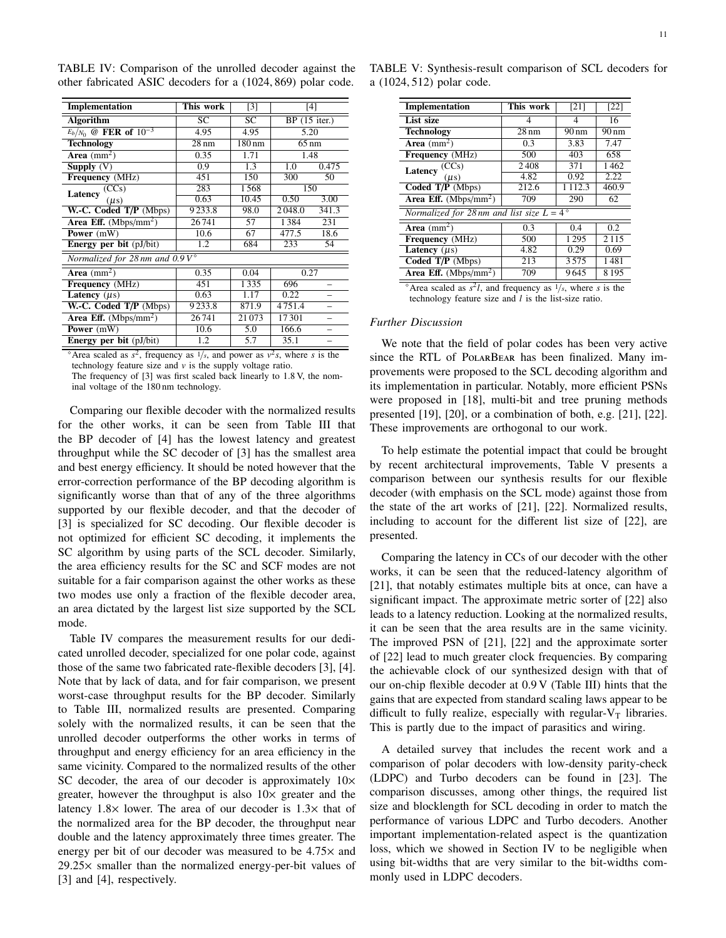| Implementation                          | This work       | $[3]$            |                 | [4]   |  |
|-----------------------------------------|-----------------|------------------|-----------------|-------|--|
| <b>Algorithm</b>                        | <b>SC</b>       | SC               | $BP(15$ iter.)  |       |  |
| $E_b/N_0$ @ FER of $10^{-3}$            | 4.95            | 4.95             | 5.20            |       |  |
| <b>Technology</b>                       | $28 \text{ nm}$ | $180 \text{ nm}$ | $65 \text{ nm}$ |       |  |
| Area $(mm2)$                            | 0.35            | 1.71             | 1.48            |       |  |
| Supply $(V)$                            | 0.9             | 1.3              | 1.0             | 0.475 |  |
| Frequency (MHz)                         | 451             | 150              | 300             | 50    |  |
| Latency $(\overline{CCs})$              | 283             | 1568             | 150             |       |  |
| $(\mu s)$                               | 0.63            | 10.45            | 0.50            | 3.00  |  |
| W.-C. Coded T/P (Mbps)                  | 9233.8          | 98.0             | 2048.0          | 341.3 |  |
| Area Eff. (Mbps/mm <sup>2</sup> )       | 26741           | 57               | 1384            | 231   |  |
| Power (mW)                              | 10.6            | 67               | 477.5           | 18.6  |  |
| <b>Energy per bit</b> (pJ/bit)          | 1.2             | 684              | 233             | 54    |  |
| Normalized for 28 nm and $0.9V^{\circ}$ |                 |                  |                 |       |  |
| Area $(mm2)$                            | 0.35            | 0.04             | 0.27            |       |  |
| <b>Frequency</b> (MHz)                  | 451             | 1335             | 696             |       |  |
| Latency $(\mu s)$                       | 0.63            | 1.17             | 0.22            |       |  |
| W.-C. Coded T/P (Mbps)                  | 9233.8          | 871.9            | 4751.4          |       |  |
| Area Eff. $(Mbps/mm^2)$                 | 26741           | 21073            | 17301           |       |  |
| Power (mW)                              | 10.6            | 5.0              | 166.6           |       |  |
| Energy per bit (pJ/bit)                 | 1.2             | 5.7              | 35.1            |       |  |

TABLE IV: Comparison of the unrolled decoder against the other fabricated ASIC decoders for a (1024, 869) polar code.

 $\degree$ Area scaled as  $s^2$ , frequency as  $1/s$ , and power as  $v^2s$ , where *s* is the technology feature size and  $\nu$  is the supply voltage ratio. The frequency of [3] was first scaled back linearly to 1.8 V, the nom-

inal voltage of the 180 nm technology.

Comparing our flexible decoder with the normalized results for the other works, it can be seen from Table III that the BP decoder of [4] has the lowest latency and greatest throughput while the SC decoder of [3] has the smallest area and best energy efficiency. It should be noted however that the error-correction performance of the BP decoding algorithm is significantly worse than that of any of the three algorithms supported by our flexible decoder, and that the decoder of [3] is specialized for SC decoding. Our flexible decoder is not optimized for efficient SC decoding, it implements the SC algorithm by using parts of the SCL decoder. Similarly, the area efficiency results for the SC and SCF modes are not suitable for a fair comparison against the other works as these two modes use only a fraction of the flexible decoder area, an area dictated by the largest list size supported by the SCL mode.

Table IV compares the measurement results for our dedicated unrolled decoder, specialized for one polar code, against those of the same two fabricated rate-flexible decoders [3], [4]. Note that by lack of data, and for fair comparison, we present worst-case throughput results for the BP decoder. Similarly to Table III, normalized results are presented. Comparing solely with the normalized results, it can be seen that the unrolled decoder outperforms the other works in terms of throughput and energy efficiency for an area efficiency in the same vicinity. Compared to the normalized results of the other SC decoder, the area of our decoder is approximately  $10\times$ greater, however the throughput is also  $10\times$  greater and the latency 1.8× lower. The area of our decoder is 1.3× that of the normalized area for the BP decoder, the throughput near double and the latency approximately three times greater. The energy per bit of our decoder was measured to be 4.75× and  $29.25\times$  smaller than the normalized energy-per-bit values of [3] and [4], respectively.

|  |                           | TABLE V: Synthesis-result comparison of SCL decoders for |  |  |
|--|---------------------------|----------------------------------------------------------|--|--|
|  | a (1024, 512) polar code. |                                                          |  |  |

| <b>Implementation</b>                              | This work       | [21]            | $[22]$          |  |  |  |  |
|----------------------------------------------------|-----------------|-----------------|-----------------|--|--|--|--|
| List size                                          | 4               | 4               | 16              |  |  |  |  |
| <b>Technology</b>                                  | $28 \text{ nm}$ | $90 \text{ nm}$ | $90 \text{ nm}$ |  |  |  |  |
| Area $(mm2)$                                       | 0.3             | 3.83            | 7.47            |  |  |  |  |
| Frequency (MHz)                                    | 500             | 403             | 658             |  |  |  |  |
| Latency $\overline{\overline{\text{CCs}}}$         | 2408            | 371             | 1462            |  |  |  |  |
| $(\mu s)$                                          | 4.82            | 0.92            | 2.22            |  |  |  |  |
| Coded T/P (Mbps)                                   | 212.6           | 1112.3          | 460.9           |  |  |  |  |
| Area Eff. (Mbps/mm <sup>2</sup> )                  | 709             | 290             | 62              |  |  |  |  |
| Normalized for 28 nm and list size $L = 4^{\circ}$ |                 |                 |                 |  |  |  |  |
| Area $(mm2)$                                       | 0.3             | 0.4             | 0.2             |  |  |  |  |
| Frequency (MHz)                                    | 500             | 1295            | 2 1 1 5         |  |  |  |  |
| Latency $(\mu s)$                                  | 4.82            | 0.29            | 0.69            |  |  |  |  |
| Coded T/P (Mbps)                                   | 213             | 3575            | 1481            |  |  |  |  |
| Area Eff. $(Mbps/mm^2)$                            | 709             | 9645            | 8 1 9 5         |  |  |  |  |

 $\degree$ Area scaled as  $s^2l$ , and frequency as  $1/s$ , where *s* is the technology feature size and *l* is the list-size ratio.

#### *Further Discussion*

We note that the field of polar codes has been very active since the RTL of PolarBear has been finalized. Many improvements were proposed to the SCL decoding algorithm and its implementation in particular. Notably, more efficient PSNs were proposed in [18], multi-bit and tree pruning methods presented [19], [20], or a combination of both, e.g. [21], [22]. These improvements are orthogonal to our work.

To help estimate the potential impact that could be brought by recent architectural improvements, Table V presents a comparison between our synthesis results for our flexible decoder (with emphasis on the SCL mode) against those from the state of the art works of [21], [22]. Normalized results, including to account for the different list size of [22], are presented.

Comparing the latency in CCs of our decoder with the other works, it can be seen that the reduced-latency algorithm of [21], that notably estimates multiple bits at once, can have a significant impact. The approximate metric sorter of [22] also leads to a latency reduction. Looking at the normalized results, it can be seen that the area results are in the same vicinity. The improved PSN of [21], [22] and the approximate sorter of [22] lead to much greater clock frequencies. By comparing the achievable clock of our synthesized design with that of our on-chip flexible decoder at 0.9 V (Table III) hints that the gains that are expected from standard scaling laws appear to be difficult to fully realize, especially with regular- $V_T$  libraries. This is partly due to the impact of parasitics and wiring.

A detailed survey that includes the recent work and a comparison of polar decoders with low-density parity-check (LDPC) and Turbo decoders can be found in [23]. The comparison discusses, among other things, the required list size and blocklength for SCL decoding in order to match the performance of various LDPC and Turbo decoders. Another important implementation-related aspect is the quantization loss, which we showed in Section IV to be negligible when using bit-widths that are very similar to the bit-widths commonly used in LDPC decoders.